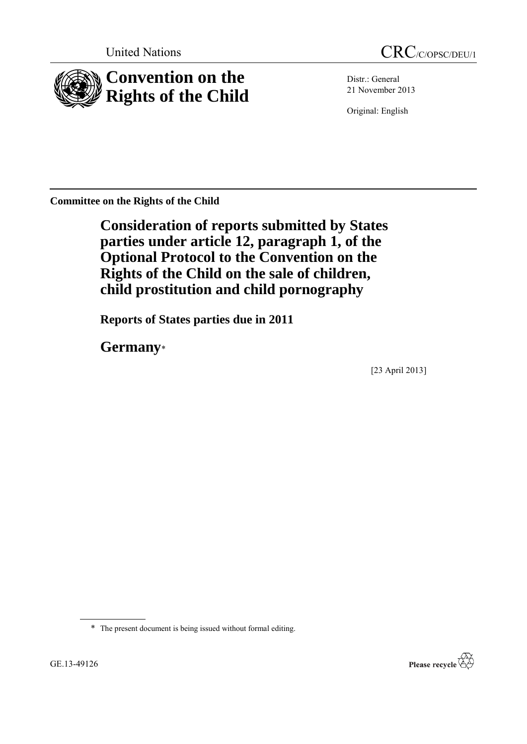

Distr.: General 21 November 2013

Original: English

**Committee on the Rights of the Child**

**Consideration of reports submitted by States parties under article 12, paragraph 1, of the Optional Protocol to the Convention on the Rights of the Child on the sale of children, child prostitution and child pornography**

**Reports of States parties due in 2011**

**Germany**\*

[23 April 2013]

\* The present document is being issued without formal editing.

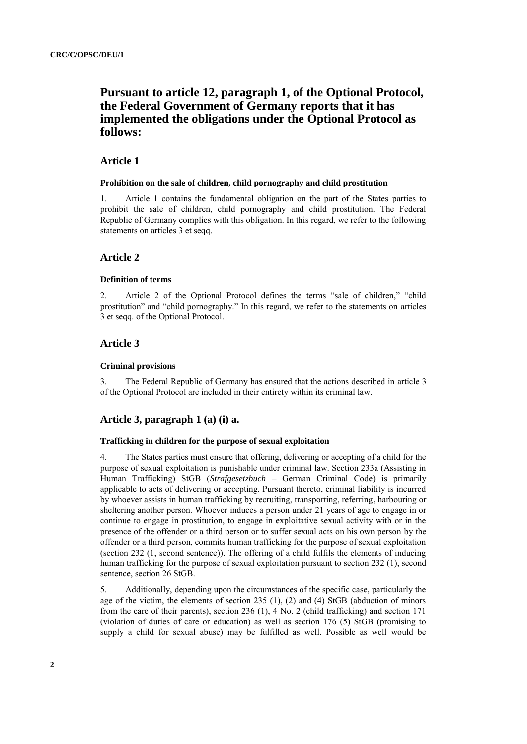# **Pursuant to article 12, paragraph 1, of the Optional Protocol, the Federal Government of Germany reports that it has implemented the obligations under the Optional Protocol as follows:**

# **Article 1**

#### **Prohibition on the sale of children, child pornography and child prostitution**

1. Article 1 contains the fundamental obligation on the part of the States parties to prohibit the sale of children, child pornography and child prostitution. The Federal Republic of Germany complies with this obligation. In this regard, we refer to the following statements on articles 3 et seqq.

### **Article 2**

#### **Definition of terms**

2. Article 2 of the Optional Protocol defines the terms "sale of children," "child prostitution" and "child pornography." In this regard, we refer to the statements on articles 3 et seqq. of the Optional Protocol.

### **Article 3**

#### **Criminal provisions**

3. The Federal Republic of Germany has ensured that the actions described in article 3 of the Optional Protocol are included in their entirety within its criminal law.

### **Article 3, paragraph 1 (a) (i) a.**

### **Trafficking in children for the purpose of sexual exploitation**

4. The States parties must ensure that offering, delivering or accepting of a child for the purpose of sexual exploitation is punishable under criminal law. Section 233a (Assisting in Human Trafficking) StGB (*Strafgesetzbuch* – German Criminal Code) is primarily applicable to acts of delivering or accepting. Pursuant thereto, criminal liability is incurred by whoever assists in human trafficking by recruiting, transporting, referring, harbouring or sheltering another person. Whoever induces a person under 21 years of age to engage in or continue to engage in prostitution, to engage in exploitative sexual activity with or in the presence of the offender or a third person or to suffer sexual acts on his own person by the offender or a third person, commits human trafficking for the purpose of sexual exploitation (section 232 (1, second sentence)). The offering of a child fulfils the elements of inducing human trafficking for the purpose of sexual exploitation pursuant to section 232 (1), second sentence, section 26 StGB.

5. Additionally, depending upon the circumstances of the specific case, particularly the age of the victim, the elements of section 235 (1), (2) and (4) StGB (abduction of minors from the care of their parents), section 236 (1), 4 No. 2 (child trafficking) and section 171 (violation of duties of care or education) as well as section 176 (5) StGB (promising to supply a child for sexual abuse) may be fulfilled as well. Possible as well would be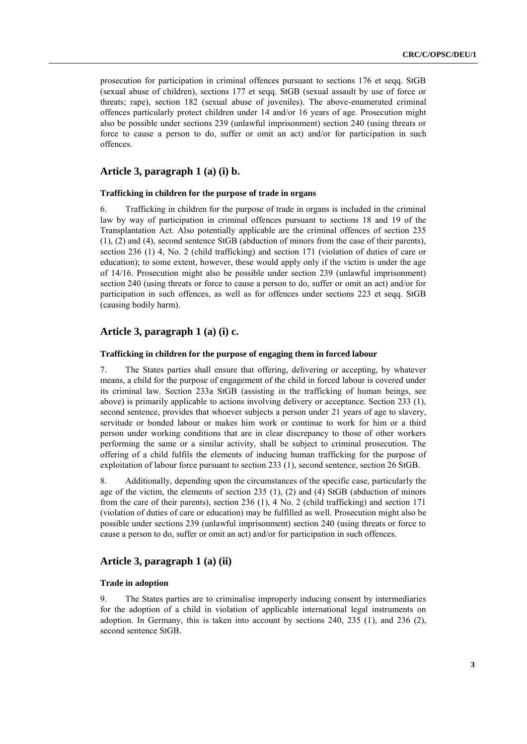prosecution for participation in criminal offences pursuant to sections 176 et seqq. StGB (sexual abuse of children), sections 177 et seqq. StGB (sexual assault by use of force or threats; rape), section 182 (sexual abuse of juveniles). The above-enumerated criminal offences particularly protect children under 14 and/or 16 years of age. Prosecution might also be possible under sections 239 (unlawful imprisonment) section 240 (using threats or force to cause a person to do, suffer or omit an act) and/or for participation in such offences.

# **Article 3, paragraph 1 (a) (i) b.**

#### **Trafficking in children for the purpose of trade in organs**

6. Trafficking in children for the purpose of trade in organs is included in the criminal law by way of participation in criminal offences pursuant to sections 18 and 19 of the Transplantation Act. Also potentially applicable are the criminal offences of section 235 (1), (2) and (4), second sentence StGB (abduction of minors from the case of their parents), section 236 (1) 4, No. 2 (child trafficking) and section 171 (violation of duties of care or education); to some extent, however, these would apply only if the victim is under the age of 14/16. Prosecution might also be possible under section 239 (unlawful imprisonment) section 240 (using threats or force to cause a person to do, suffer or omit an act) and/or for participation in such offences, as well as for offences under sections 223 et seqq. StGB (causing bodily harm).

### **Article 3, paragraph 1 (a) (i) c.**

#### **Trafficking in children for the purpose of engaging them in forced labour**

7. The States parties shall ensure that offering, delivering or accepting, by whatever means, a child for the purpose of engagement of the child in forced labour is covered under its criminal law. Section 233a StGB (assisting in the trafficking of human beings, see above) is primarily applicable to actions involving delivery or acceptance. Section 233 (1), second sentence, provides that whoever subjects a person under 21 years of age to slavery, servitude or bonded labour or makes him work or continue to work for him or a third person under working conditions that are in clear discrepancy to those of other workers performing the same or a similar activity, shall be subject to criminal prosecution. The offering of a child fulfils the elements of inducing human trafficking for the purpose of exploitation of labour force pursuant to section 233 (1), second sentence, section 26 StGB.

8. Additionally, depending upon the circumstances of the specific case, particularly the age of the victim, the elements of section 235 (1), (2) and (4) StGB (abduction of minors from the care of their parents), section 236 (1), 4 No. 2 (child trafficking) and section 171 (violation of duties of care or education) may be fulfilled as well. Prosecution might also be possible under sections 239 (unlawful imprisonment) section 240 (using threats or force to cause a person to do, suffer or omit an act) and/or for participation in such offences.

## **Article 3, paragraph 1 (a) (ii)**

#### **Trade in adoption**

9. The States parties are to criminalise improperly inducing consent by intermediaries for the adoption of a child in violation of applicable international legal instruments on adoption. In Germany, this is taken into account by sections 240, 235 (1), and 236 (2), second sentence StGB.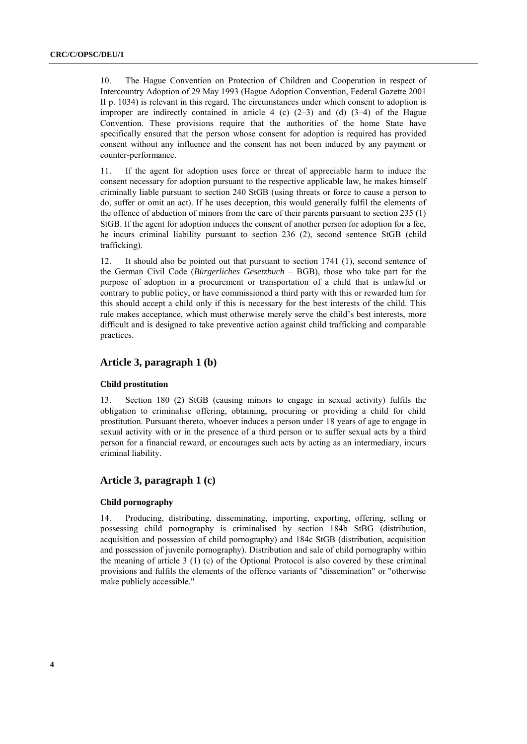10. The Hague Convention on Protection of Children and Cooperation in respect of Intercountry Adoption of 29 May 1993 (Hague Adoption Convention, Federal Gazette 2001 II p. 1034) is relevant in this regard. The circumstances under which consent to adoption is improper are indirectly contained in article 4 (c)  $(2-3)$  and (d)  $(3-4)$  of the Hague Convention. These provisions require that the authorities of the home State have specifically ensured that the person whose consent for adoption is required has provided consent without any influence and the consent has not been induced by any payment or counter-performance.

11. If the agent for adoption uses force or threat of appreciable harm to induce the consent necessary for adoption pursuant to the respective applicable law, he makes himself criminally liable pursuant to section 240 StGB (using threats or force to cause a person to do, suffer or omit an act). If he uses deception, this would generally fulfil the elements of the offence of abduction of minors from the care of their parents pursuant to section 235 (1) StGB. If the agent for adoption induces the consent of another person for adoption for a fee, he incurs criminal liability pursuant to section 236 (2), second sentence StGB (child trafficking).

12. It should also be pointed out that pursuant to section 1741 (1), second sentence of the German Civil Code (*Bürgerliches Gesetzbuch* – BGB), those who take part for the purpose of adoption in a procurement or transportation of a child that is unlawful or contrary to public policy, or have commissioned a third party with this or rewarded him for this should accept a child only if this is necessary for the best interests of the child. This rule makes acceptance, which must otherwise merely serve the child's best interests, more difficult and is designed to take preventive action against child trafficking and comparable practices.

# **Article 3, paragraph 1 (b)**

#### **Child prostitution**

13. Section 180 (2) StGB (causing minors to engage in sexual activity) fulfils the obligation to criminalise offering, obtaining, procuring or providing a child for child prostitution. Pursuant thereto, whoever induces a person under 18 years of age to engage in sexual activity with or in the presence of a third person or to suffer sexual acts by a third person for a financial reward, or encourages such acts by acting as an intermediary, incurs criminal liability.

# **Article 3, paragraph 1 (c)**

### **Child pornography**

14. Producing, distributing, disseminating, importing, exporting, offering, selling or possessing child pornography is criminalised by section 184b StBG (distribution, acquisition and possession of child pornography) and 184c StGB (distribution, acquisition and possession of juvenile pornography). Distribution and sale of child pornography within the meaning of article 3 (1) (c) of the Optional Protocol is also covered by these criminal provisions and fulfils the elements of the offence variants of "dissemination" or "otherwise make publicly accessible."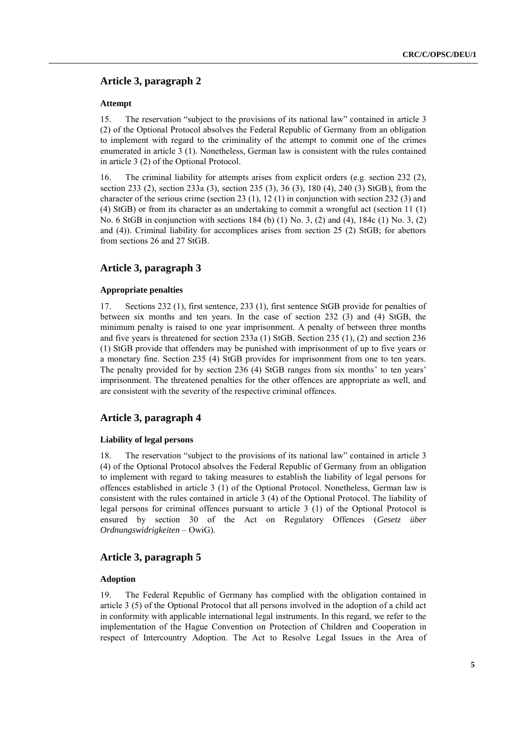# **Article 3, paragraph 2**

#### **Attempt**

15. The reservation "subject to the provisions of its national law" contained in article 3 (2) of the Optional Protocol absolves the Federal Republic of Germany from an obligation to implement with regard to the criminality of the attempt to commit one of the crimes enumerated in article 3 (1). Nonetheless, German law is consistent with the rules contained in article 3 (2) of the Optional Protocol.

16. The criminal liability for attempts arises from explicit orders (e.g. section 232 (2), section 233 (2), section 233a (3), section 235 (3), 36 (3), 180 (4), 240 (3) StGB), from the character of the serious crime (section 23 (1), 12 (1) in conjunction with section 232 (3) and (4) StGB) or from its character as an undertaking to commit a wrongful act (section 11 (1) No. 6 StGB in conjunction with sections 184 (b) (1) No. 3, (2) and (4), 184c (1) No. 3, (2) and (4)). Criminal liability for accomplices arises from section 25 (2) StGB; for abettors from sections 26 and 27 StGB.

### **Article 3, paragraph 3**

#### **Appropriate penalties**

17. Sections 232 (1), first sentence, 233 (1), first sentence StGB provide for penalties of between six months and ten years. In the case of section 232 (3) and (4) StGB, the minimum penalty is raised to one year imprisonment. A penalty of between three months and five years is threatened for section 233a (1) StGB. Section 235 (1), (2) and section 236 (1) StGB provide that offenders may be punished with imprisonment of up to five years or a monetary fine. Section 235 (4) StGB provides for imprisonment from one to ten years. The penalty provided for by section 236 (4) StGB ranges from six months' to ten years' imprisonment. The threatened penalties for the other offences are appropriate as well, and are consistent with the severity of the respective criminal offences.

### **Article 3, paragraph 4**

#### **Liability of legal persons**

18. The reservation "subject to the provisions of its national law" contained in article 3 (4) of the Optional Protocol absolves the Federal Republic of Germany from an obligation to implement with regard to taking measures to establish the liability of legal persons for offences established in article 3 (1) of the Optional Protocol. Nonetheless, German law is consistent with the rules contained in article 3 (4) of the Optional Protocol. The liability of legal persons for criminal offences pursuant to article 3 (1) of the Optional Protocol is ensured by section 30 of the Act on Regulatory Offences (*Gesetz über Ordnungswidrigkeiten* – OwiG).

### **Article 3, paragraph 5**

#### **Adoption**

19. The Federal Republic of Germany has complied with the obligation contained in article 3 (5) of the Optional Protocol that all persons involved in the adoption of a child act in conformity with applicable international legal instruments. In this regard, we refer to the implementation of the Hague Convention on Protection of Children and Cooperation in respect of Intercountry Adoption. The Act to Resolve Legal Issues in the Area of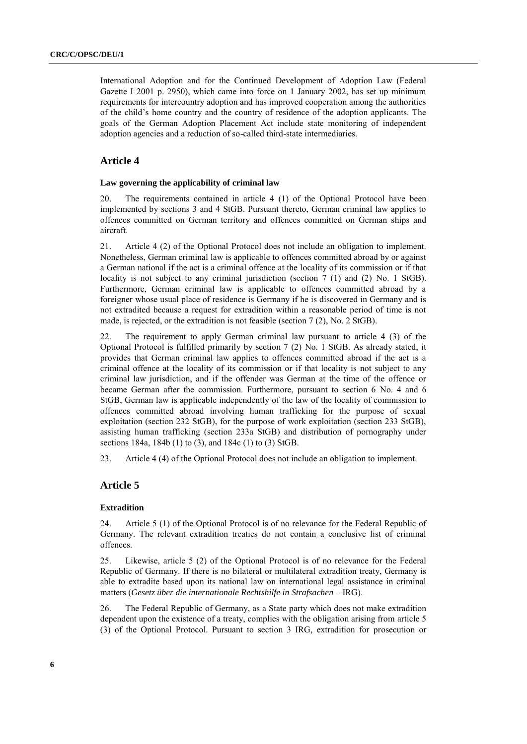International Adoption and for the Continued Development of Adoption Law (Federal Gazette I 2001 p. 2950), which came into force on 1 January 2002, has set up minimum requirements for intercountry adoption and has improved cooperation among the authorities of the child's home country and the country of residence of the adoption applicants. The goals of the German Adoption Placement Act include state monitoring of independent adoption agencies and a reduction of so-called third-state intermediaries.

# **Article 4**

#### **Law governing the applicability of criminal law**

20. The requirements contained in article 4 (1) of the Optional Protocol have been implemented by sections 3 and 4 StGB. Pursuant thereto, German criminal law applies to offences committed on German territory and offences committed on German ships and aircraft.

21. Article 4 (2) of the Optional Protocol does not include an obligation to implement. Nonetheless, German criminal law is applicable to offences committed abroad by or against a German national if the act is a criminal offence at the locality of its commission or if that locality is not subject to any criminal jurisdiction (section 7 (1) and (2) No. 1 StGB). Furthermore, German criminal law is applicable to offences committed abroad by a foreigner whose usual place of residence is Germany if he is discovered in Germany and is not extradited because a request for extradition within a reasonable period of time is not made, is rejected, or the extradition is not feasible (section 7 (2), No. 2 StGB).

22. The requirement to apply German criminal law pursuant to article 4 (3) of the Optional Protocol is fulfilled primarily by section 7 (2) No. 1 StGB. As already stated, it provides that German criminal law applies to offences committed abroad if the act is a criminal offence at the locality of its commission or if that locality is not subject to any criminal law jurisdiction, and if the offender was German at the time of the offence or became German after the commission. Furthermore, pursuant to section 6 No. 4 and 6 StGB, German law is applicable independently of the law of the locality of commission to offences committed abroad involving human trafficking for the purpose of sexual exploitation (section 232 StGB), for the purpose of work exploitation (section 233 StGB), assisting human trafficking (section 233a StGB) and distribution of pornography under sections 184a, 184b (1) to (3), and 184c (1) to (3) StGB.

23. Article 4 (4) of the Optional Protocol does not include an obligation to implement.

# **Article 5**

#### **Extradition**

24. Article 5 (1) of the Optional Protocol is of no relevance for the Federal Republic of Germany. The relevant extradition treaties do not contain a conclusive list of criminal offences.

25. Likewise, article 5 (2) of the Optional Protocol is of no relevance for the Federal Republic of Germany. If there is no bilateral or multilateral extradition treaty, Germany is able to extradite based upon its national law on international legal assistance in criminal matters (*Gesetz über die internationale Rechtshilfe in Strafsachen* – IRG).

26. The Federal Republic of Germany, as a State party which does not make extradition dependent upon the existence of a treaty, complies with the obligation arising from article 5 (3) of the Optional Protocol. Pursuant to section 3 IRG, extradition for prosecution or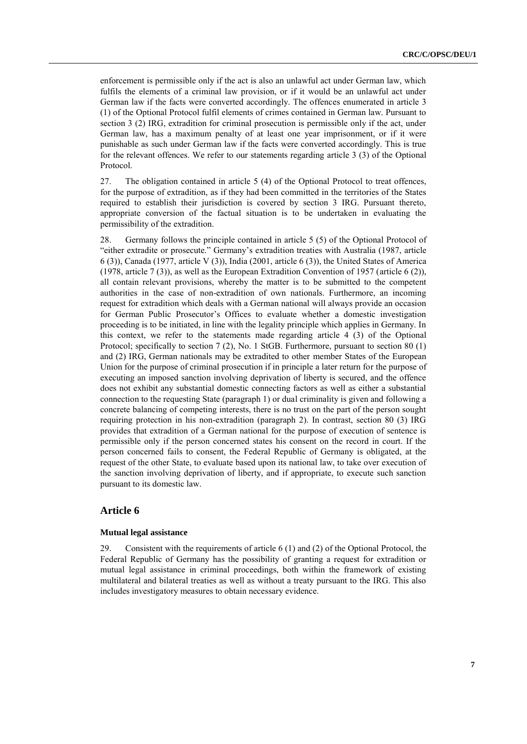enforcement is permissible only if the act is also an unlawful act under German law, which fulfils the elements of a criminal law provision, or if it would be an unlawful act under German law if the facts were converted accordingly. The offences enumerated in article 3 (1) of the Optional Protocol fulfil elements of crimes contained in German law. Pursuant to section 3 (2) IRG, extradition for criminal prosecution is permissible only if the act, under German law, has a maximum penalty of at least one year imprisonment, or if it were punishable as such under German law if the facts were converted accordingly. This is true for the relevant offences. We refer to our statements regarding article 3 (3) of the Optional Protocol.

27. The obligation contained in article 5 (4) of the Optional Protocol to treat offences, for the purpose of extradition, as if they had been committed in the territories of the States required to establish their jurisdiction is covered by section 3 IRG. Pursuant thereto, appropriate conversion of the factual situation is to be undertaken in evaluating the permissibility of the extradition.

28. Germany follows the principle contained in article 5 (5) of the Optional Protocol of "either extradite or prosecute." Germany's extradition treaties with Australia (1987, article 6 (3)), Canada (1977, article V (3)), India (2001, article 6 (3)), the United States of America (1978, article 7 (3)), as well as the European Extradition Convention of 1957 (article 6 (2)), all contain relevant provisions, whereby the matter is to be submitted to the competent authorities in the case of non-extradition of own nationals. Furthermore, an incoming request for extradition which deals with a German national will always provide an occasion for German Public Prosecutor's Offices to evaluate whether a domestic investigation proceeding is to be initiated, in line with the legality principle which applies in Germany. In this context, we refer to the statements made regarding article 4 (3) of the Optional Protocol; specifically to section 7 (2), No. 1 StGB. Furthermore, pursuant to section 80 (1) and (2) IRG, German nationals may be extradited to other member States of the European Union for the purpose of criminal prosecution if in principle a later return for the purpose of executing an imposed sanction involving deprivation of liberty is secured, and the offence does not exhibit any substantial domestic connecting factors as well as either a substantial connection to the requesting State (paragraph 1) or dual criminality is given and following a concrete balancing of competing interests, there is no trust on the part of the person sought requiring protection in his non-extradition (paragraph 2). In contrast, section 80 (3) IRG provides that extradition of a German national for the purpose of execution of sentence is permissible only if the person concerned states his consent on the record in court. If the person concerned fails to consent, the Federal Republic of Germany is obligated, at the request of the other State, to evaluate based upon its national law, to take over execution of the sanction involving deprivation of liberty, and if appropriate, to execute such sanction pursuant to its domestic law.

### **Article 6**

### **Mutual legal assistance**

29. Consistent with the requirements of article 6 (1) and (2) of the Optional Protocol, the Federal Republic of Germany has the possibility of granting a request for extradition or mutual legal assistance in criminal proceedings, both within the framework of existing multilateral and bilateral treaties as well as without a treaty pursuant to the IRG. This also includes investigatory measures to obtain necessary evidence.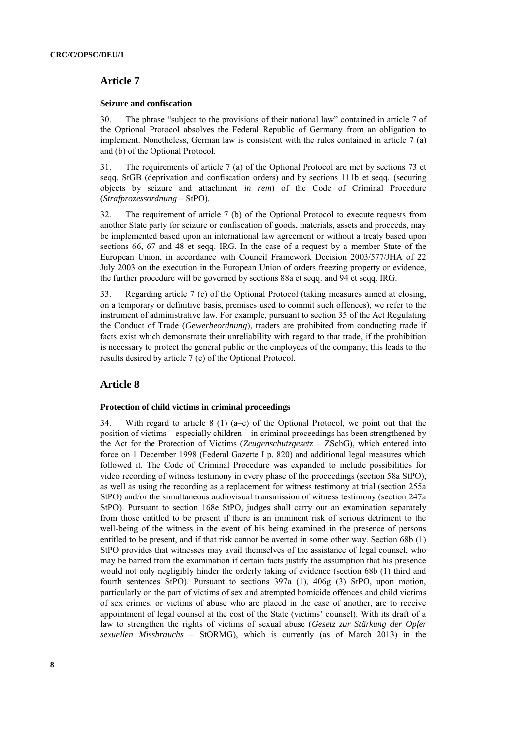# **Article 7**

#### **Seizure and confiscation**

30. The phrase "subject to the provisions of their national law" contained in article 7 of the Optional Protocol absolves the Federal Republic of Germany from an obligation to implement. Nonetheless, German law is consistent with the rules contained in article 7 (a) and (b) of the Optional Protocol.

31. The requirements of article 7 (a) of the Optional Protocol are met by sections 73 et seqq. StGB (deprivation and confiscation orders) and by sections 111b et seqq. (securing objects by seizure and attachment *in rem*) of the Code of Criminal Procedure (*Strafprozessordnung* – StPO).

32. The requirement of article 7 (b) of the Optional Protocol to execute requests from another State party for seizure or confiscation of goods, materials, assets and proceeds, may be implemented based upon an international law agreement or without a treaty based upon sections 66, 67 and 48 et seqq. IRG. In the case of a request by a member State of the European Union, in accordance with Council Framework Decision 2003/577/JHA of 22 July 2003 on the execution in the European Union of orders freezing property or evidence, the further procedure will be governed by sections 88a et seqq. and 94 et seqq. IRG.

33. Regarding article 7 (c) of the Optional Protocol (taking measures aimed at closing, on a temporary or definitive basis, premises used to commit such offences), we refer to the instrument of administrative law. For example, pursuant to section 35 of the Act Regulating the Conduct of Trade (*Gewerbeordnung*), traders are prohibited from conducting trade if facts exist which demonstrate their unreliability with regard to that trade, if the prohibition is necessary to protect the general public or the employees of the company; this leads to the results desired by article 7 (c) of the Optional Protocol.

# **Article 8**

#### **Protection of child victims in criminal proceedings**

34. With regard to article 8 (1) (a–c) of the Optional Protocol, we point out that the position of victims – especially children – in criminal proceedings has been strengthened by the Act for the Protection of Victims (*Zeugenschutzgesetz* – ZSchG), which entered into force on 1 December 1998 (Federal Gazette I p. 820) and additional legal measures which followed it. The Code of Criminal Procedure was expanded to include possibilities for video recording of witness testimony in every phase of the proceedings (section 58a StPO), as well as using the recording as a replacement for witness testimony at trial (section 255a StPO) and/or the simultaneous audiovisual transmission of witness testimony (section 247a StPO). Pursuant to section 168e StPO, judges shall carry out an examination separately from those entitled to be present if there is an imminent risk of serious detriment to the well-being of the witness in the event of his being examined in the presence of persons entitled to be present, and if that risk cannot be averted in some other way. Section 68b (1) StPO provides that witnesses may avail themselves of the assistance of legal counsel, who may be barred from the examination if certain facts justify the assumption that his presence would not only negligibly hinder the orderly taking of evidence (section 68b (1) third and fourth sentences StPO). Pursuant to sections 397a (1), 406g (3) StPO, upon motion, particularly on the part of victims of sex and attempted homicide offences and child victims of sex crimes, or victims of abuse who are placed in the case of another, are to receive appointment of legal counsel at the cost of the State (victims' counsel). With its draft of a law to strengthen the rights of victims of sexual abuse (*Gesetz zur Stärkung der Opfer sexuellen Missbrauchs* – StORMG), which is currently (as of March 2013) in the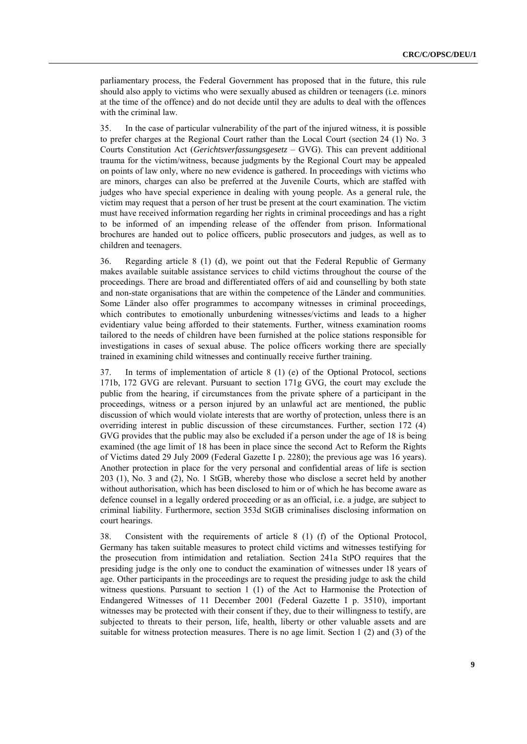parliamentary process, the Federal Government has proposed that in the future, this rule should also apply to victims who were sexually abused as children or teenagers (i.e. minors at the time of the offence) and do not decide until they are adults to deal with the offences with the criminal law.

35. In the case of particular vulnerability of the part of the injured witness, it is possible to prefer charges at the Regional Court rather than the Local Court (section 24 (1) No. 3 Courts Constitution Act (*Gerichtsverfassungsgesetz* – GVG). This can prevent additional trauma for the victim/witness, because judgments by the Regional Court may be appealed on points of law only, where no new evidence is gathered. In proceedings with victims who are minors, charges can also be preferred at the Juvenile Courts, which are staffed with judges who have special experience in dealing with young people. As a general rule, the victim may request that a person of her trust be present at the court examination. The victim must have received information regarding her rights in criminal proceedings and has a right to be informed of an impending release of the offender from prison. Informational brochures are handed out to police officers, public prosecutors and judges, as well as to children and teenagers.

36. Regarding article 8 (1) (d), we point out that the Federal Republic of Germany makes available suitable assistance services to child victims throughout the course of the proceedings. There are broad and differentiated offers of aid and counselling by both state and non-state organisations that are within the competence of the Länder and communities. Some Länder also offer programmes to accompany witnesses in criminal proceedings, which contributes to emotionally unburdening witnesses/victims and leads to a higher evidentiary value being afforded to their statements. Further, witness examination rooms tailored to the needs of children have been furnished at the police stations responsible for investigations in cases of sexual abuse. The police officers working there are specially trained in examining child witnesses and continually receive further training.

37. In terms of implementation of article 8 (1) (e) of the Optional Protocol, sections 171b, 172 GVG are relevant. Pursuant to section 171g GVG, the court may exclude the public from the hearing, if circumstances from the private sphere of a participant in the proceedings, witness or a person injured by an unlawful act are mentioned, the public discussion of which would violate interests that are worthy of protection, unless there is an overriding interest in public discussion of these circumstances. Further, section 172 (4) GVG provides that the public may also be excluded if a person under the age of 18 is being examined (the age limit of 18 has been in place since the second Act to Reform the Rights of Victims dated 29 July 2009 (Federal Gazette I p. 2280); the previous age was 16 years). Another protection in place for the very personal and confidential areas of life is section 203 (1), No. 3 and (2), No. 1 StGB, whereby those who disclose a secret held by another without authorisation, which has been disclosed to him or of which he has become aware as defence counsel in a legally ordered proceeding or as an official, i.e. a judge, are subject to criminal liability. Furthermore, section 353d StGB criminalises disclosing information on court hearings.

38. Consistent with the requirements of article 8 (1) (f) of the Optional Protocol, Germany has taken suitable measures to protect child victims and witnesses testifying for the prosecution from intimidation and retaliation. Section 241a StPO requires that the presiding judge is the only one to conduct the examination of witnesses under 18 years of age. Other participants in the proceedings are to request the presiding judge to ask the child witness questions. Pursuant to section 1 (1) of the Act to Harmonise the Protection of Endangered Witnesses of 11 December 2001 (Federal Gazette I p. 3510), important witnesses may be protected with their consent if they, due to their willingness to testify, are subjected to threats to their person, life, health, liberty or other valuable assets and are suitable for witness protection measures. There is no age limit. Section 1 (2) and (3) of the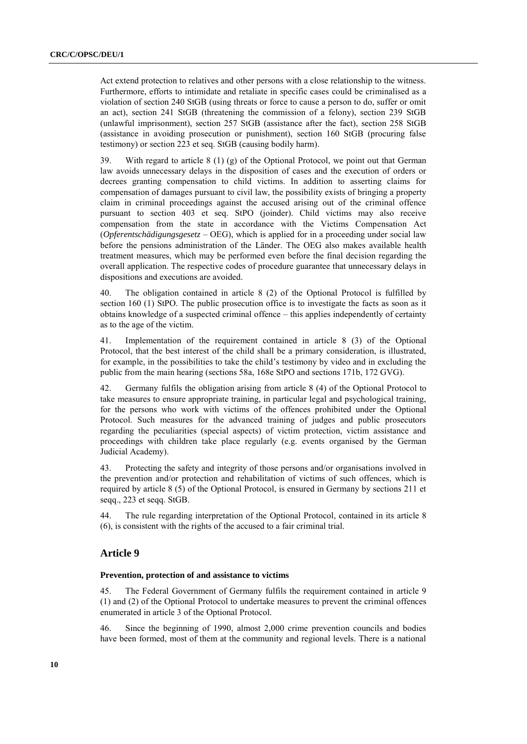Act extend protection to relatives and other persons with a close relationship to the witness. Furthermore, efforts to intimidate and retaliate in specific cases could be criminalised as a violation of section 240 StGB (using threats or force to cause a person to do, suffer or omit an act), section 241 StGB (threatening the commission of a felony), section 239 StGB (unlawful imprisonment), section 257 StGB (assistance after the fact), section 258 StGB (assistance in avoiding prosecution or punishment), section 160 StGB (procuring false testimony) or section 223 et seq. StGB (causing bodily harm).

39. With regard to article  $8(1)(g)$  of the Optional Protocol, we point out that German law avoids unnecessary delays in the disposition of cases and the execution of orders or decrees granting compensation to child victims. In addition to asserting claims for compensation of damages pursuant to civil law, the possibility exists of bringing a property claim in criminal proceedings against the accused arising out of the criminal offence pursuant to section 403 et seq. StPO (joinder). Child victims may also receive compensation from the state in accordance with the Victims Compensation Act (*Opferentschädigungsgesetz* – OEG), which is applied for in a proceeding under social law before the pensions administration of the Länder. The OEG also makes available health treatment measures, which may be performed even before the final decision regarding the overall application. The respective codes of procedure guarantee that unnecessary delays in dispositions and executions are avoided.

40. The obligation contained in article 8 (2) of the Optional Protocol is fulfilled by section 160 (1) StPO. The public prosecution office is to investigate the facts as soon as it obtains knowledge of a suspected criminal offence – this applies independently of certainty as to the age of the victim.

41. Implementation of the requirement contained in article 8 (3) of the Optional Protocol, that the best interest of the child shall be a primary consideration, is illustrated, for example, in the possibilities to take the child's testimony by video and in excluding the public from the main hearing (sections 58a, 168e StPO and sections 171b, 172 GVG).

42. Germany fulfils the obligation arising from article 8 (4) of the Optional Protocol to take measures to ensure appropriate training, in particular legal and psychological training, for the persons who work with victims of the offences prohibited under the Optional Protocol. Such measures for the advanced training of judges and public prosecutors regarding the peculiarities (special aspects) of victim protection, victim assistance and proceedings with children take place regularly (e.g. events organised by the German Judicial Academy).

43. Protecting the safety and integrity of those persons and/or organisations involved in the prevention and/or protection and rehabilitation of victims of such offences, which is required by article 8 (5) of the Optional Protocol, is ensured in Germany by sections 211 et seqq., 223 et seqq. StGB.

44. The rule regarding interpretation of the Optional Protocol, contained in its article 8 (6), is consistent with the rights of the accused to a fair criminal trial.

### **Article 9**

### **Prevention, protection of and assistance to victims**

45. The Federal Government of Germany fulfils the requirement contained in article 9 (1) and (2) of the Optional Protocol to undertake measures to prevent the criminal offences enumerated in article 3 of the Optional Protocol.

46. Since the beginning of 1990, almost 2,000 crime prevention councils and bodies have been formed, most of them at the community and regional levels. There is a national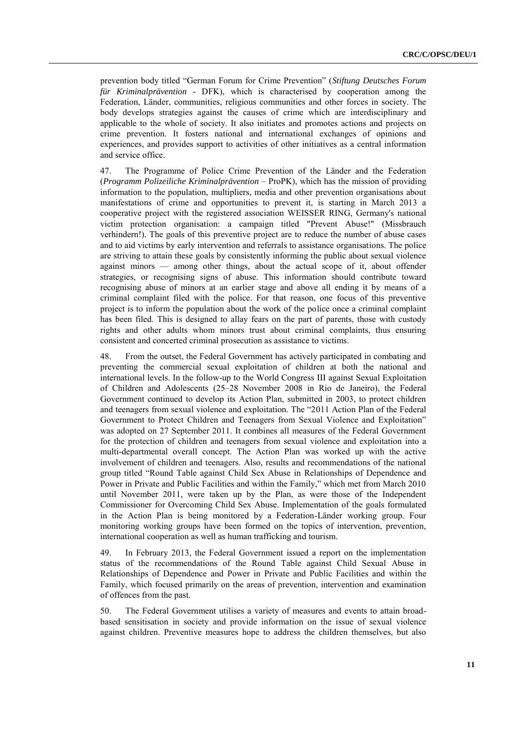prevention body titled "German Forum for Crime Prevention" (*Stiftung Deutsches Forum für Kriminalprävention* - DFK), which is characterised by cooperation among the Federation, Länder, communities, religious communities and other forces in society. The body develops strategies against the causes of crime which are interdisciplinary and applicable to the whole of society. It also initiates and promotes actions and projects on crime prevention. It fosters national and international exchanges of opinions and experiences, and provides support to activities of other initiatives as a central information and service office.

47. The Programme of Police Crime Prevention of the Länder and the Federation (*Programm Polizeiliche Kriminalprävention* – ProPK), which has the mission of providing information to the population, multipliers, media and other prevention organisations about manifestations of crime and opportunities to prevent it, is starting in March 2013 a cooperative project with the registered association WEISSER RING, Germany's national victim protection organisation: a campaign titled "Prevent Abuse!" (Missbrauch verhindern!). The goals of this preventive project are to reduce the number of abuse cases and to aid victims by early intervention and referrals to assistance organisations. The police are striving to attain these goals by consistently informing the public about sexual violence against minors — among other things, about the actual scope of it, about offender strategies, or recognising signs of abuse. This information should contribute toward recognising abuse of minors at an earlier stage and above all ending it by means of a criminal complaint filed with the police. For that reason, one focus of this preventive project is to inform the population about the work of the police once a criminal complaint has been filed. This is designed to allay fears on the part of parents, those with custody rights and other adults whom minors trust about criminal complaints, thus ensuring consistent and concerted criminal prosecution as assistance to victims.

48. From the outset, the Federal Government has actively participated in combating and preventing the commercial sexual exploitation of children at both the national and international levels. In the follow-up to the World Congress III against Sexual Exploitation of Children and Adolescents (25–28 November 2008 in Rio de Janeiro), the Federal Government continued to develop its Action Plan, submitted in 2003, to protect children and teenagers from sexual violence and exploitation. The "2011 Action Plan of the Federal Government to Protect Children and Teenagers from Sexual Violence and Exploitation" was adopted on 27 September 2011. It combines all measures of the Federal Government for the protection of children and teenagers from sexual violence and exploitation into a multi-departmental overall concept. The Action Plan was worked up with the active involvement of children and teenagers. Also, results and recommendations of the national group titled "Round Table against Child Sex Abuse in Relationships of Dependence and Power in Private and Public Facilities and within the Family," which met from March 2010 until November 2011, were taken up by the Plan, as were those of the Independent Commissioner for Overcoming Child Sex Abuse. Implementation of the goals formulated in the Action Plan is being monitored by a Federation-Länder working group. Four monitoring working groups have been formed on the topics of intervention, prevention, international cooperation as well as human trafficking and tourism.

49. In February 2013, the Federal Government issued a report on the implementation status of the recommendations of the Round Table against Child Sexual Abuse in Relationships of Dependence and Power in Private and Public Facilities and within the Family, which focused primarily on the areas of prevention, intervention and examination of offences from the past.

50. The Federal Government utilises a variety of measures and events to attain broadbased sensitisation in society and provide information on the issue of sexual violence against children. Preventive measures hope to address the children themselves, but also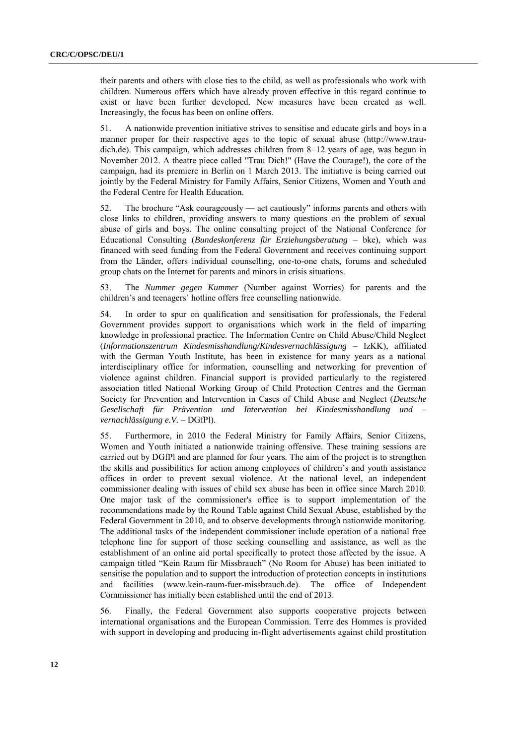their parents and others with close ties to the child, as well as professionals who work with children. Numerous offers which have already proven effective in this regard continue to exist or have been further developed. New measures have been created as well. Increasingly, the focus has been on online offers.

51. A nationwide prevention initiative strives to sensitise and educate girls and boys in a manner proper for their respective ages to the topic of sexual abuse (http://www.traudich.de). This campaign, which addresses children from 8–12 years of age, was begun in November 2012. A theatre piece called "Trau Dich!" (Have the Courage!), the core of the campaign, had its premiere in Berlin on 1 March 2013. The initiative is being carried out jointly by the Federal Ministry for Family Affairs, Senior Citizens, Women and Youth and the Federal Centre for Health Education.

52. The brochure "Ask courageously — act cautiously" informs parents and others with close links to children, providing answers to many questions on the problem of sexual abuse of girls and boys. The online consulting project of the National Conference for Educational Consulting (*Bundeskonferenz für Erziehungsberatung* – bke), which was financed with seed funding from the Federal Government and receives continuing support from the Länder, offers individual counselling, one-to-one chats, forums and scheduled group chats on the Internet for parents and minors in crisis situations.

53. The *Nummer gegen Kummer* (Number against Worries) for parents and the children's and teenagers' hotline offers free counselling nationwide.

54. In order to spur on qualification and sensitisation for professionals, the Federal Government provides support to organisations which work in the field of imparting knowledge in professional practice. The Information Centre on Child Abuse/Child Neglect (*Informationszentrum Kindesmisshandlung/Kindesvernachlässigung* – IzKK), affiliated with the German Youth Institute, has been in existence for many years as a national interdisciplinary office for information, counselling and networking for prevention of violence against children. Financial support is provided particularly to the registered association titled National Working Group of Child Protection Centres and the German Society for Prevention and Intervention in Cases of Child Abuse and Neglect (*Deutsche Gesellschaft für Prävention und Intervention bei Kindesmisshandlung und – vernachlässigung e.V.* – DGfPl).

55. Furthermore, in 2010 the Federal Ministry for Family Affairs, Senior Citizens, Women and Youth initiated a nationwide training offensive. These training sessions are carried out by DGfPl and are planned for four years. The aim of the project is to strengthen the skills and possibilities for action among employees of children's and youth assistance offices in order to prevent sexual violence. At the national level, an independent commissioner dealing with issues of child sex abuse has been in office since March 2010. One major task of the commissioner's office is to support implementation of the recommendations made by the Round Table against Child Sexual Abuse, established by the Federal Government in 2010, and to observe developments through nationwide monitoring. The additional tasks of the independent commissioner include operation of a national free telephone line for support of those seeking counselling and assistance, as well as the establishment of an online aid portal specifically to protect those affected by the issue. A campaign titled "Kein Raum für Missbrauch" (No Room for Abuse) has been initiated to sensitise the population and to support the introduction of protection concepts in institutions and facilities (www.kein-raum-fuer-missbrauch.de). The office of Independent Commissioner has initially been established until the end of 2013.

56. Finally, the Federal Government also supports cooperative projects between international organisations and the European Commission. Terre des Hommes is provided with support in developing and producing in-flight advertisements against child prostitution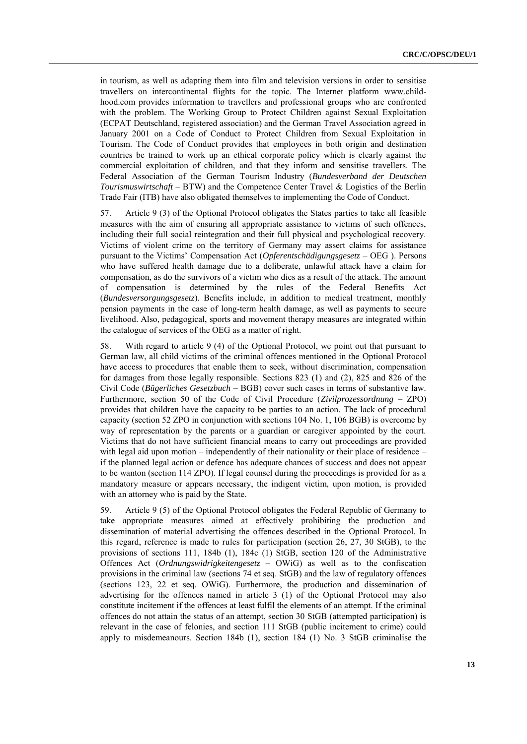in tourism, as well as adapting them into film and television versions in order to sensitise travellers on intercontinental flights for the topic. The Internet platform [www.child](http://www.child-hood.com/)[hood.com](http://www.child-hood.com/) provides information to travellers and professional groups who are confronted with the problem. The Working Group to Protect Children against Sexual Exploitation (ECPAT Deutschland, registered association) and the German Travel Association agreed in January 2001 on a Code of Conduct to Protect Children from Sexual Exploitation in Tourism. The Code of Conduct provides that employees in both origin and destination countries be trained to work up an ethical corporate policy which is clearly against the commercial exploitation of children, and that they inform and sensitise travellers. The Federal Association of the German Tourism Industry (*Bundesverband der Deutschen Tourismuswirtschaft* – BTW) and the Competence Center Travel & Logistics of the Berlin Trade Fair (ITB) have also obligated themselves to implementing the Code of Conduct.

57. Article 9 (3) of the Optional Protocol obligates the States parties to take all feasible measures with the aim of ensuring all appropriate assistance to victims of such offences, including their full social reintegration and their full physical and psychological recovery. Victims of violent crime on the territory of Germany may assert claims for assistance pursuant to the Victims' Compensation Act (*Opferentschädigungsgesetz* – OEG ). Persons who have suffered health damage due to a deliberate, unlawful attack have a claim for compensation, as do the survivors of a victim who dies as a result of the attack. The amount of compensation is determined by the rules of the Federal Benefits Act (*Bundesversorgungsgesetz*). Benefits include, in addition to medical treatment, monthly pension payments in the case of long-term health damage, as well as payments to secure livelihood. Also, pedagogical, sports and movement therapy measures are integrated within the catalogue of services of the OEG as a matter of right.

58. With regard to article 9 (4) of the Optional Protocol, we point out that pursuant to German law, all child victims of the criminal offences mentioned in the Optional Protocol have access to procedures that enable them to seek, without discrimination, compensation for damages from those legally responsible. Sections 823 (1) and (2), 825 and 826 of the Civil Code (*Bügerliches Gesetzbuch* – BGB) cover such cases in terms of substantive law. Furthermore, section 50 of the Code of Civil Procedure (*Zivilprozessordnung* – ZPO) provides that children have the capacity to be parties to an action. The lack of procedural capacity (section 52 ZPO in conjunction with sections 104 No. 1, 106 BGB) is overcome by way of representation by the parents or a guardian or caregiver appointed by the court. Victims that do not have sufficient financial means to carry out proceedings are provided with legal aid upon motion – independently of their nationality or their place of residence – if the planned legal action or defence has adequate chances of success and does not appear to be wanton (section 114 ZPO). If legal counsel during the proceedings is provided for as a mandatory measure or appears necessary, the indigent victim, upon motion, is provided with an attorney who is paid by the State.

59. Article 9 (5) of the Optional Protocol obligates the Federal Republic of Germany to take appropriate measures aimed at effectively prohibiting the production and dissemination of material advertising the offences described in the Optional Protocol. In this regard, reference is made to rules for participation (section 26, 27, 30 StGB), to the provisions of sections 111, 184b (1), 184c (1) StGB, section 120 of the Administrative Offences Act (*Ordnungswidrigkeitengesetz* – OWiG) as well as to the confiscation provisions in the criminal law (sections 74 et seq. StGB) and the law of regulatory offences (sections 123, 22 et seq. OWiG). Furthermore, the production and dissemination of advertising for the offences named in article 3 (1) of the Optional Protocol may also constitute incitement if the offences at least fulfil the elements of an attempt. If the criminal offences do not attain the status of an attempt, section 30 StGB (attempted participation) is relevant in the case of felonies, and section 111 StGB (public incitement to crime) could apply to misdemeanours. Section 184b (1), section 184 (1) No. 3 StGB criminalise the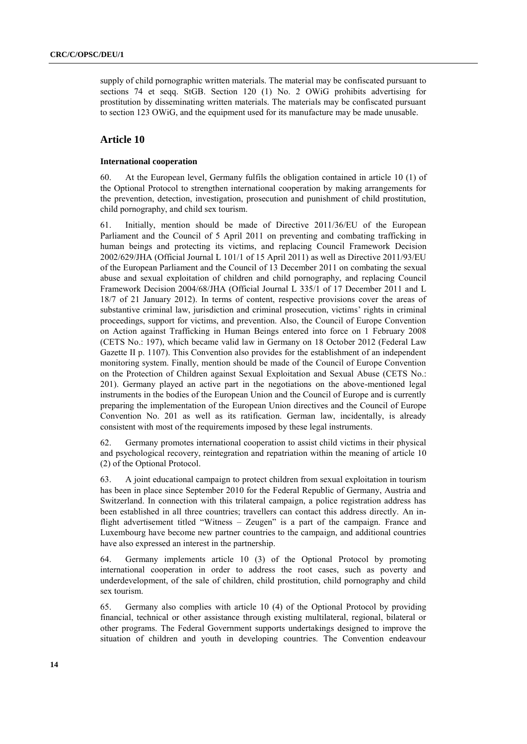supply of child pornographic written materials. The material may be confiscated pursuant to sections 74 et seqq. StGB. Section 120 (1) No. 2 OWiG prohibits advertising for prostitution by disseminating written materials. The materials may be confiscated pursuant to section 123 OWiG, and the equipment used for its manufacture may be made unusable.

# **Article 10**

#### **International cooperation**

60. At the European level, Germany fulfils the obligation contained in article 10 (1) of the Optional Protocol to strengthen international cooperation by making arrangements for the prevention, detection, investigation, prosecution and punishment of child prostitution, child pornography, and child sex tourism.

61. Initially, mention should be made of Directive 2011/36/EU of the European Parliament and the Council of 5 April 2011 on preventing and combating trafficking in human beings and protecting its victims, and replacing Council Framework Decision 2002/629/JHA (Official Journal L 101/1 of 15 April 2011) as well as Directive 2011/93/EU of the European Parliament and the Council of 13 December 2011 on combating the sexual abuse and sexual exploitation of children and child pornography, and replacing Council Framework Decision 2004/68/JHA (Official Journal L 335/1 of 17 December 2011 and L 18/7 of 21 January 2012). In terms of content, respective provisions cover the areas of substantive criminal law, jurisdiction and criminal prosecution, victims' rights in criminal proceedings, support for victims, and prevention. Also, the Council of Europe Convention on Action against Trafficking in Human Beings entered into force on 1 February 2008 (CETS No.: 197), which became valid law in Germany on 18 October 2012 (Federal Law Gazette II p. 1107). This Convention also provides for the establishment of an independent monitoring system. Finally, mention should be made of the Council of Europe Convention on the Protection of Children against Sexual Exploitation and Sexual Abuse (CETS No.: 201). Germany played an active part in the negotiations on the above-mentioned legal instruments in the bodies of the European Union and the Council of Europe and is currently preparing the implementation of the European Union directives and the Council of Europe Convention No. 201 as well as its ratification. German law, incidentally, is already consistent with most of the requirements imposed by these legal instruments.

62. Germany promotes international cooperation to assist child victims in their physical and psychological recovery, reintegration and repatriation within the meaning of article 10 (2) of the Optional Protocol.

63. A joint educational campaign to protect children from sexual exploitation in tourism has been in place since September 2010 for the Federal Republic of Germany, Austria and Switzerland. In connection with this trilateral campaign, a police registration address has been established in all three countries; travellers can contact this address directly. An inflight advertisement titled "Witness – Zeugen" is a part of the campaign. France and Luxembourg have become new partner countries to the campaign, and additional countries have also expressed an interest in the partnership.

64. Germany implements article 10 (3) of the Optional Protocol by promoting international cooperation in order to address the root cases, such as poverty and underdevelopment, of the sale of children, child prostitution, child pornography and child sex tourism.

65. Germany also complies with article 10 (4) of the Optional Protocol by providing financial, technical or other assistance through existing multilateral, regional, bilateral or other programs. The Federal Government supports undertakings designed to improve the situation of children and youth in developing countries. The Convention endeavour